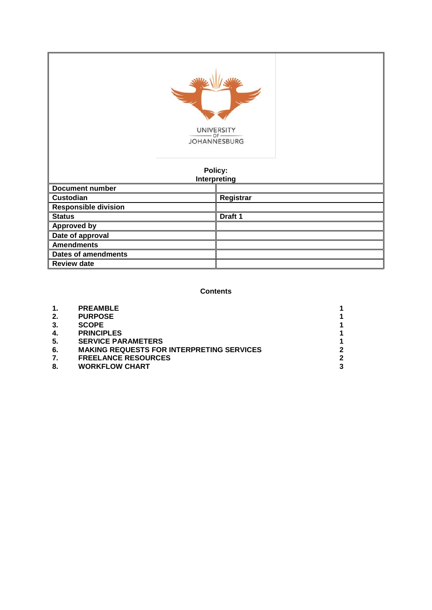

# **Policy:**

| Interpreting                |           |  |
|-----------------------------|-----------|--|
| <b>Document number</b>      |           |  |
| <b>Custodian</b>            | Registrar |  |
| <b>Responsible division</b> |           |  |
| <b>Status</b>               | Draft 1   |  |
| <b>Approved by</b>          |           |  |
| Date of approval            |           |  |
| <b>Amendments</b>           |           |  |
| <b>Dates of amendments</b>  |           |  |
| <b>Review date</b>          |           |  |

## **Contents**

| 1.  | <b>PREAMBLE</b>                                  |   |
|-----|--------------------------------------------------|---|
| 2.  | <b>PURPOSE</b>                                   |   |
| 3.  | <b>SCOPE</b>                                     |   |
| 4.  | <b>PRINCIPLES</b>                                |   |
| -5. | <b>SERVICE PARAMETERS</b>                        |   |
| 6.  | <b>MAKING REQUESTS FOR INTERPRETING SERVICES</b> | ◠ |
| 7.  | <b>FREELANCE RESOURCES</b>                       | ≏ |
| 8.  | <b>WORKFLOW CHART</b>                            |   |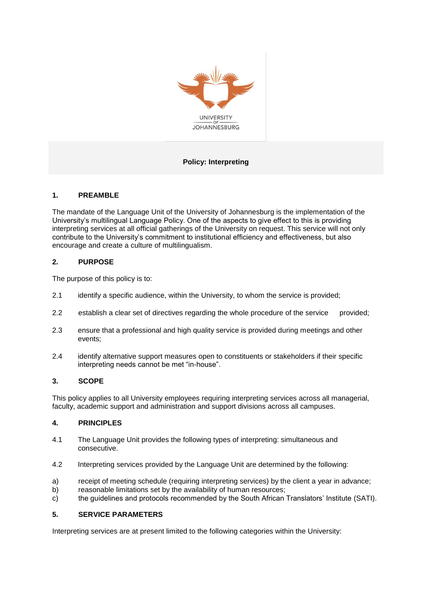

## **Policy: Interpreting**

## **1. PREAMBLE**

The mandate of the Language Unit of the University of Johannesburg is the implementation of the University's multilingual Language Policy. One of the aspects to give effect to this is providing interpreting services at all official gatherings of the University on request. This service will not only contribute to the University's commitment to institutional efficiency and effectiveness, but also encourage and create a culture of multilingualism.

#### **2. PURPOSE**

The purpose of this policy is to:

- 2.1 identify a specific audience, within the University, to whom the service is provided;
- 2.2 establish a clear set of directives regarding the whole procedure of the service provided;
- 2.3 ensure that a professional and high quality service is provided during meetings and other events;
- 2.4 identify alternative support measures open to constituents or stakeholders if their specific interpreting needs cannot be met "in-house".

#### **3. SCOPE**

This policy applies to all University employees requiring interpreting services across all managerial, faculty, academic support and administration and support divisions across all campuses.

#### **4. PRINCIPLES**

- 4.1 The Language Unit provides the following types of interpreting: simultaneous and consecutive.
- 4.2 Interpreting services provided by the Language Unit are determined by the following:
- a) receipt of meeting schedule (requiring interpreting services) by the client a year in advance;
- b) reasonable limitations set by the availability of human resources;
- c) the guidelines and protocols recommended by the South African Translators' Institute (SATI).

#### **5. SERVICE PARAMETERS**

Interpreting services are at present limited to the following categories within the University: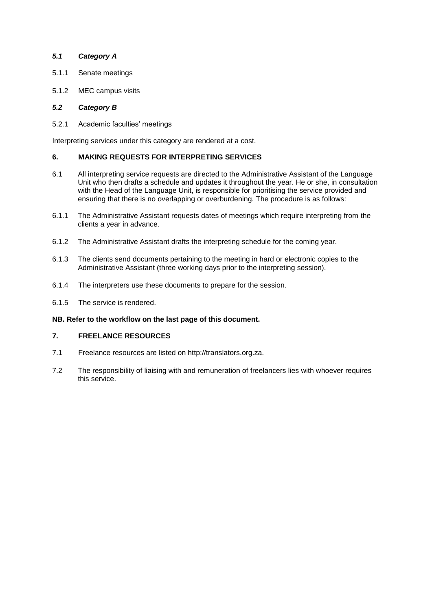## *5.1 Category A*

- 5.1.1 Senate meetings
- 5.1.2 MEC campus visits

#### *5.2 Category B*

5.2.1 Academic faculties' meetings

Interpreting services under this category are rendered at a cost.

#### **6. MAKING REQUESTS FOR INTERPRETING SERVICES**

- 6.1 All interpreting service requests are directed to the Administrative Assistant of the Language Unit who then drafts a schedule and updates it throughout the year. He or she, in consultation with the Head of the Language Unit, is responsible for prioritising the service provided and ensuring that there is no overlapping or overburdening. The procedure is as follows:
- 6.1.1 The Administrative Assistant requests dates of meetings which require interpreting from the clients a year in advance.
- 6.1.2 The Administrative Assistant drafts the interpreting schedule for the coming year.
- 6.1.3 The clients send documents pertaining to the meeting in hard or electronic copies to the Administrative Assistant (three working days prior to the interpreting session).
- 6.1.4 The interpreters use these documents to prepare for the session.
- 6.1.5 The service is rendered.

#### **NB. Refer to the workflow on the last page of this document.**

## **7. FREELANCE RESOURCES**

- 7.1 Freelance resources are listed on http://translators.org.za.
- 7.2 The responsibility of liaising with and remuneration of freelancers lies with whoever requires this service.